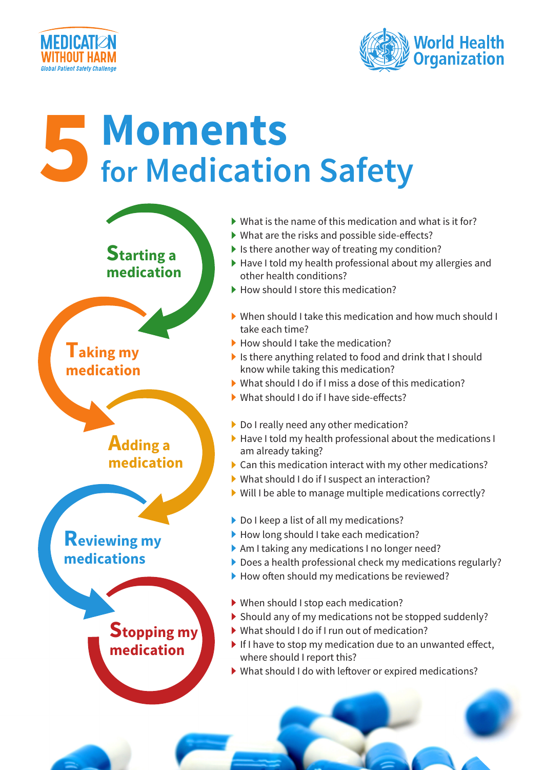



## **for Medication Safety Moments**



- $\blacktriangleright$  What is the name of this medication and what is it for?
- $\blacktriangleright$  What are the risks and possible side-effects?
- $\blacktriangleright$  Is there another way of treating my condition?
- $\blacktriangleright$  Have I told my health professional about my allergies and other health conditions?
- $\blacktriangleright$  How should I store this medication?
- $\blacktriangleright$  When should I take this medication and how much should  $\blacktriangleright$ take each time?
- $\blacktriangleright$  How should I take the medication?
- I is there anything related to food and drink that I should know while taking this medication?
- $\blacktriangleright$  What should I do if I miss a dose of this medication?
- $\blacktriangleright$  What should I do if I have side-effects?
- $\blacktriangleright$  Do I really need any other medication?
- $\blacktriangleright$  Have I told my health professional about the medications I am already taking?
- $\triangleright$  Can this medication interact with my other medications?
- $\blacktriangleright$  What should I do if I suspect an interaction?
- $\triangleright$  Will I be able to manage multiple medications correctly?
- $\triangleright$  Do I keep a list of all my medications?
- $\blacktriangleright$  How long should I take each medication?
- $\blacktriangleright$  Am I taking any medications I no longer need?
- $\triangleright$  Does a health professional check my medications regularly?
- $\blacktriangleright$  How often should my medications be reviewed?
- $\blacktriangleright$  When should I stop each medication?
- $\triangleright$  Should any of my medications not be stopped suddenly?
- $\blacktriangleright$  What should I do if I run out of medication?
- $\blacktriangleright$  If I have to stop my medication due to an unwanted effect, where should I report this?
- $\blacktriangleright$  What should I do with leftover or expired medications?